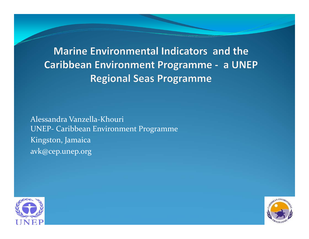**Marine Environmental Indicators and the Caribbean Environment Programme - a UNEP Regional Seas Programme** 

Alessandra Vanzella‐Khouri UNEP‐ Caribbean Environment Programme Kingston, Jamaica avk@cep.unep.org



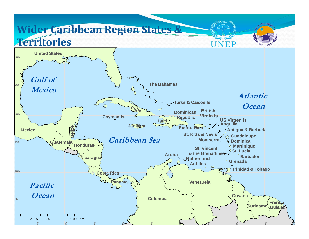#### **Wider Caribbean Region States & TerritoriesUNEP United States** 30N**Gulf of The Bahamas** $5<sub>N</sub>$ **Mexico Atlantic Turks & Caicos Is. OceanCuba**  $\varnothing$ **British Dominican** 20N**Virgin Is US Virgen Is Cayman Is. Republic HaitiAnguilla JamaicaBelize Puerto R<del>ico</del> Antigua & Barbuda MexicoSt. Kitts & NevisGuadeloupe Caribbean Sea p**<sup>o</sup> Dominica **Montserrat** 15N**Guatemala HondurasMartinique St. Vincent St. Lucia& the Grenadines Aruba Barbados Nicaragua Netherland GrenadaAntilles** $\infty$ **Trinidad & Tobago** 10N**Costa Rica VenezuelaPanamaPacific OceanGuyana Colombia**5N**French SurinameGuiana**0 262.5 525 1.050 Km  $\geq$   $\geq$   $\geq$   $\geq$   $\geq$   $\geq$   $\geq$   $\geq$   $\geq$   $\geq$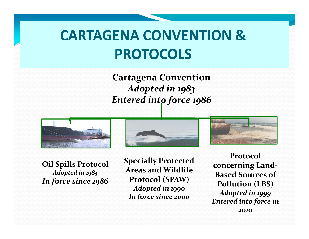# **CARTAGENA CONVENTION &PROTOCOLS**

**Cartagena Convention** *Adopted in 1983 Entered into force 1986*







**Specially Protected Areas and Wildlife Protocol (SPAW)** *Adopted in 1990 In force since <sup>2000</sup>*



*2010*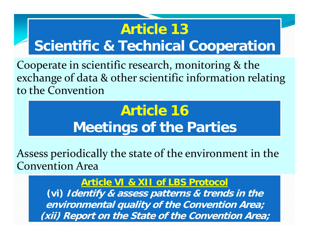# **Article 13Scientific & Technical Cooperation**

Cooperate in scientific research, monitoring & the exchange of data & other scientific information relating to the Convention

# **Article 16Meetings of the Parties**

Assess periodically the state of the environment in the Convention Area

#### **Article VI & XII of LBS Protocol**

**(vi) Identify & assess patterns & trends in the environmental quality of the Convention Area; (xii) Report on the State of the Convention Area;**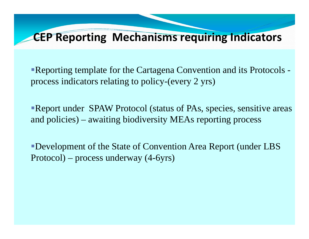### **CEP Reporting Mechanisms requiring Indicators**

Reporting template for the Cartagena Convention and its Protocols process indicators relating to policy-(every 2 yrs)

Report under SPAW Protocol (status of PAs, species, sensitive areas and policies) – awaiting biodiversity MEAs reporting process

Development of the State of Convention Area Report (under LBS Protocol) – process underway (4-6yrs)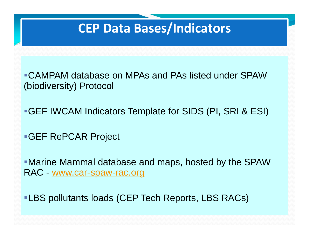### **CEP Data Bases/Indicators**

CAMPAM database on MPAs and PAs listed under SPAW (biodiversity) Protocol

GEF IWCAM Indicators Template for SIDS (PI, SRI & ESI)

GEF RePCAR Project

Marine Mammal database and maps, hosted by the SPAW RAC - www.car-spaw-rac.org

**-LBS pollutants loads (CEP Tech Reports, LBS RACs)**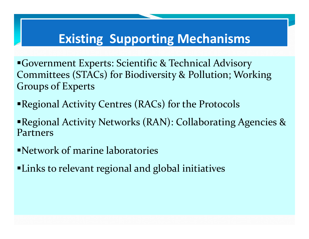### **Existing Supporting Mechanisms**

Government Experts: Scientific & Technical Advisory Committees (STACs) for Biodiversity & Pollution; Working Groups of Experts

- Regional Activity Centres (RACs) for the Protocols
- Regional Activity Networks (RAN): Collaborating Agencies & Partners
- Network of marine laboratories
- Links to relevant regional and global initiatives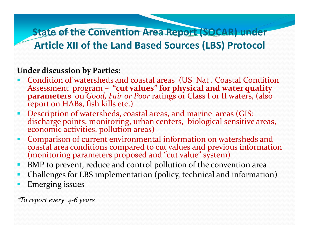#### **State of the Convention Area Report (SOCAR) under Article XII of the Land Based Sources (LBS) Protocol**

#### **Under discussion by Parties:**

- **Condition of watersheds and coastal areas (US Nat. Coastal Condition** Assessment program – **"cut values" for physical and water quality parameters** on *Good, Fair or Poor* ratings or Class <sup>I</sup> or II waters, (also repor<sup>t</sup> on HABs, fish kills etc.)
- Ξ Description of watersheds, coastal areas, and marine areas (GIS: discharge points, monitoring, urban centers, biological sensitive areas, economic activities, pollution areas)
- n Comparison of current environmental information on watersheds and coastal area conditions compared to cut values and previous information<br>(monitoring parameters proposed and "cut value" system)
- ο BMP to prevent, reduce and control pollution of the convention area
- $\blacksquare$ Challenges for LBS implementation (policy, technical and information)
- П Emerging issues

*\*To repor<sup>t</sup> every 4‐6 years*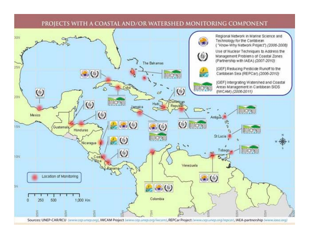

#### PROJECTS WITH A COASTAL AND/OR WATERSHED MONITORING COMPONENT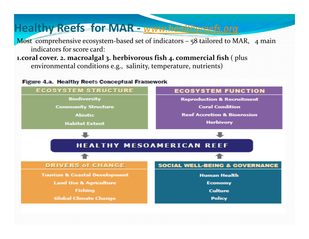### **Healthy Reefs for MAR ‐** *www.healthyreefs.org*

Most comprehensive ecosystem-based set of indicators – 58 tailored to MAR, 4 main indicators for score card:

**1.coral cover. 2. macroalgal 3. herbivorous fish 4. commercial fish** ( <sup>p</sup>lus environmental conditions e.g., salinity, temperature, nutrients)

**Figure 4.a. Healthy Reefs Conceptual Framework** 

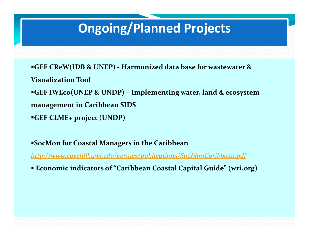## **Ongoing/Planned Projects**

**GEF CReW(IDB & UNEP) ‐ Harmonized data base for wastewater &**

**Visualization Tool**

**GEF IWEco(UNEP & UNDP) – Implementing water, land & ecosystem**

**managemen<sup>t</sup> in Caribbean SIDS**

**GEF CLME+ project (UNDP)**

**SocMon for Coastal Managers in the Caribbean**

*http://www.cavehill.uwi.edu/cermes/publications/SocMonCaribbean.pdf*

**Economic indicators of "Caribbean Coastal Capital Guide" (wri.org)**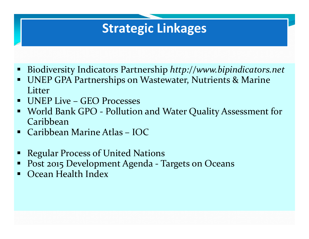### **Strategic Linkages**

- $\blacksquare$ Biodiversity Indicators Partnership *http://www.bipindicators.net*
- $\blacksquare$  UNEP GPA Partnerships on Wastewater, Nutrients & Marine **Litter**
- $\blacksquare$ UNEP Live – GEO Processes
- $\Box$  World Bank GPO ‐ Pollution and Water Quality Assessment for Caribbean
- $\blacksquare$ Caribbean Marine Atlas – IOC
- Ξ Regular Process of United Nations
- Post 2015 Development Agenda ‐ Targets on Oceans
- Ocean Health Index